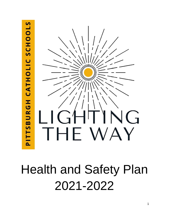

# Health and Safety Plan 2021-2022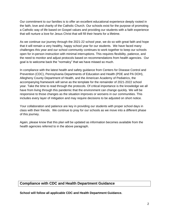Our commitment to our families is to offer an excellent educational experience deeply rooted in the faith, love and charity of the Catholic Church. Our schools exist for the purpose of promoting a Catholic way of life based on Gospel values and providing our students with a faith experience that will nurture a love for Jesus Christ that will fill their hearts for a lifetime.

As we continue our journey through the 2021-22 school year, we do so with great faith and hope that it will remain a very healthy, happy school year for our students. We have faced many challenges this year and our school community continues to work together to keep our schools open for in-person instruction with minimal interruptions. This requires flexibility, patience, and the need to monitor and adjust protocols based on recommendations from health agencies. Our goal is to welcome back the "normalcy" that we have missed so much.

In compliance with the latest health and safety guidance from Centers for Disease Control and Prevention (CDC), Pennsylvania Departments of Education and Health (PDE and PA DOH), Allegheny County Department of Health, and the American Academy of Pediatrics, the accompanying framework will serve as the template for the remainder of 2021-2022 school year. Take the time to read through the protocols. Of critical importance is the knowledge we all have from living through this pandemic that the environment can change quickly. We will be responsive to those changes as the situation improves or worsens in our communities. This includes every layer of mitigation and may require decisions to be adjusted on short notice.

Your collaboration and patience are key in providing our students with proper school days in class with their friends. We continue to pray for our schools as we move into a different phase of this journey.

Again, please know that this plan will be updated as information becomes available from the health agencies referred to in the above paragraph.

# **Compliance with CDC and Health Department Guidance**

**School will follow all applicable CDC and Health Department Guidance.**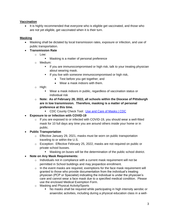## **Vaccination**

It is highly recommended that everyone who is eligible get vaccinated, and those who are not yet eligible, get vaccinated when it is their turn.

# **Masking**

- Masking shall be dictated by local transmission rates, exposure or infection, and use of public transportation.
- **Transmission Rate**
	- o Low:
		- Masking is a matter of personal preference
	- o Medium:
		- **.** If you are immunocompromised or high risk, talk to your treating physician about wearing mask.
		- **■** If you live with someone immunocompromised or high risk,
			- Test before you get together; and
			- Wear a mask indoors with them.
	- o High:
		- Wear a mask indoors in public, regardless of vaccination status or individual risk
	- o **Note: As of February 28, 2022, all schools within the Diocese of Pittsburgh are in low transmission. Therefore, masking is a matter of personal preference at this time.**
		- CDC County Check Tool: [Use and Care of Masks | CDC](https://www.cdc.gov/coronavirus/2019-ncov/prevent-getting-sick/about-face-coverings.html)
- **Exposure to or Infection with COVID-19**
	- $\circ$  If you are exposed to or infected with COVID-19, you should wear a well-fitted mask for 10 full days any time you are around others inside your home or in public.
- **Public Transportation**
	- o Effective January 29, 2021, masks must be worn on public transportation traveling to or within the U.S.
	- o Exception: Effective February 25, 2022, masks are not required on public or private school busses.
		- Masking on buses will be the determination of the public school district.
- **Note on Any Mask Requirements:**
	- o Individuals not in compliance with a current mask requirement will not be permitted in School buildings and may jeopardize enrollment.
	- $\circ$  In the event masks are required, exemptions for the face mask requirement will granted to those who provide documentation from the individual's treating physician (PCP or Specialist) indicating the individual is under the physician's care and cannot wear a face mask due to a specified medical condition. Please use the enclosed Medical Exemption Form.
	- o Masking and Physical Activity/Sports
		- No masks shall be required while participating in high intensity aerobic or anaerobic activities, including during a physical education class in a well-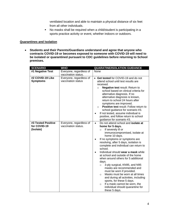ventilated location and able to maintain a physical distance of six feet from all other individuals.

▪ No masks shall be required when a child/student is participating in a sports practice activity or event, whether indoors or outdoors.

#### **Quarantines and Isolation**

• **Students and their Parents/Guardians understand and agree that anyone who contracts COVID-19 or becomes exposed to someone with COVID-19 will need to be isolated or quarantined pursuant to CDC guidelines before returning to School premises.**

| <b>SCENARIO</b>                                 | <b>WHO</b>                                     | <b>QUARATINE/ISOLATION GUIDANCE</b>                                                                                                                                                                                                                                                                                                                                                                                                                                                                                                                                                                                                                                                                                                                                    |
|-------------------------------------------------|------------------------------------------------|------------------------------------------------------------------------------------------------------------------------------------------------------------------------------------------------------------------------------------------------------------------------------------------------------------------------------------------------------------------------------------------------------------------------------------------------------------------------------------------------------------------------------------------------------------------------------------------------------------------------------------------------------------------------------------------------------------------------------------------------------------------------|
| #1 Negative Test                                | Everyone, regardless of<br>vaccination status. | None                                                                                                                                                                                                                                                                                                                                                                                                                                                                                                                                                                                                                                                                                                                                                                   |
| #2 COVID-19 Like<br><b>Symptoms</b>             | Everyone, regardless of<br>vaccination status  | Get tested for COVID-19 and do not<br>$\bullet$<br>attend school until test results are<br>received.<br>Negative test result: Return to<br>$\circ$<br>school based on clinical criteria for<br>alternative diagnosis. If no<br>alternative diagnosis is known,<br>return to school 24 hours after<br>symptoms are improved.<br>Positive test result: Follow return to<br>$\circ$<br>school guidance for scenario #3.<br>If not tested, assume individual is<br>positive, and follow return to school<br>guidance for scenario #3.                                                                                                                                                                                                                                      |
| #3 Tested Positive<br>for COVID-19<br>(Isolate) | Everyone, regardless of<br>vaccination status. | Do not attend school and isolate at<br>$\bullet$<br>home for 5 days.<br>If severely ill or<br>$\circ$<br>immunocompromised, isolate at<br>home 10 days.<br>If no symptoms or symptoms are<br>$\bullet$<br>resolving, after 5 days, isolation is<br>complete and individual can return to<br>school.<br>Individual should wear a mask while<br>$\bullet$<br>at school and outside of the home<br>when around others for 5 additional<br>days.<br>3-ply surgical, KN95, and N95<br>$\circ$<br>masks are recommended and<br>must be worn if provided.<br>Masks must be worn at all times<br>$\circ$<br>and during all activities, including<br>sports, for these 5 days.<br>If a mask cannot be worn, the<br>$\circ$<br>individual should quarantine for<br>these 5 days. |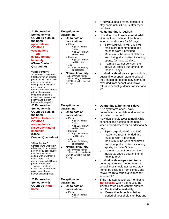|                                                                                                                                                                                                                                                                                                                                                                                                                                                                                                                                                                                  |                                                                                                                                                                                                                                                                                                                                                                                                                                            | If individual has a fever, continue to<br>$\bullet$<br>stay home until 24 hours after fever<br>resolves.                                                                                                                                                                                                                                                                                                                                                                                                                                                                                                                                                                                                                                                                                                                                                      |
|----------------------------------------------------------------------------------------------------------------------------------------------------------------------------------------------------------------------------------------------------------------------------------------------------------------------------------------------------------------------------------------------------------------------------------------------------------------------------------------------------------------------------------------------------------------------------------|--------------------------------------------------------------------------------------------------------------------------------------------------------------------------------------------------------------------------------------------------------------------------------------------------------------------------------------------------------------------------------------------------------------------------------------------|---------------------------------------------------------------------------------------------------------------------------------------------------------------------------------------------------------------------------------------------------------------------------------------------------------------------------------------------------------------------------------------------------------------------------------------------------------------------------------------------------------------------------------------------------------------------------------------------------------------------------------------------------------------------------------------------------------------------------------------------------------------------------------------------------------------------------------------------------------------|
| #4 Exposed to<br>Someone with<br>COVID-19 outside<br>the home +<br>up to date on<br><b>COVID-19</b><br>vaccinations<br><b>OR</b><br><b>90 Day Natural</b><br><b>Immunity</b><br>(Close Contact/<br><b>Quarantine)</b><br>"Close Contact":<br>Someone who was within<br>6 feet away of an infected<br>person for 15 consecutive<br>minutes in an indoor<br>setting, with or without a<br>mask. A person is<br>deemed infected 48 hours<br>prior to the onset of<br>symptoms or taking a<br>COVID test that returned<br>positive and through<br>his/her isolation period.          | <b>Exceptions to</b><br><b>Quarantine:</b><br>Up to date on<br>vaccinations<br>• Pfizer<br>$\circ$ Age 5+ Primary<br>Series<br>$\circ$ Age 12+ Primary<br>and Booster<br>• Moderna<br>O Age 18+ Primary<br>and Booster<br>$-J&J$<br>○ Age 18+ Primary<br>and Booster<br><b>Natural Immunity</b><br>$\bullet$<br>Had confirmed (tested<br>positive using a viral test)<br>COVID-19 within the last<br>90 days                               | No quarantine is required.<br>$\bullet$<br>Individual should wear a mask while<br>$\bullet$<br>at school and outside of the home<br>when around others for 10 days.<br>3-ply surgical, KN95, and N95<br>$\circ$<br>masks are recommended and<br>must be worn if provided.<br>Masks must be worn at all times<br>$\circ$<br>and during all activities, including<br>sports, for these 10 days.<br>If a mask cannot be worn, the<br>$\circ$<br>individual should quarantine for<br>these 10 days.<br>If individual develops symptoms during<br>$\bullet$<br>quarantine or upon return to school,<br>they should get tested, stay home, be<br>excluded from school, and follow<br>return to school guidance for scenario<br>#2.                                                                                                                                  |
| #5 Exposed to<br>Someone with<br><b>COVID-19 outside</b><br>the home +<br><b>NOT up to date on</b><br><b>COVID-19</b><br>vaccinations +<br><b>No 90 Day Natural</b><br><b>Immunity</b><br>(Close<br><b>Contact/Quarantine)</b><br>"Close Contact":<br>Someone who was within<br>6 feet away of an infected<br>person for 15 consecutive<br>minutes in an indoor<br>setting, with or without a<br>mask. A person is<br>deemed infected 48 hours<br>prior to the onset of<br>symptoms or taking a<br>COVID test that returned<br>positive and through<br>his/her isolation period. | <b>Exceptions to</b><br><b>Quarantine:</b><br>Up to date on<br>$\bullet$<br>vaccinations<br>• Pfizer<br>o Age 5+ Primary<br>Series<br>$\circ$ Age 12+ Primary<br>and Booster<br>Moderna<br>٠<br>Age 18+ Primary<br>$\circ$<br>and Booster<br>$-J&J$<br>Age $18+$ Primary<br>$\circ$<br>and Booster<br><b>Natural Immunity</b><br>$\bullet$<br>Had confirmed (tested<br>positive using a viral test)<br>COVID-19 within the last<br>90 days | Quarantine at home for 5 days.<br>$\bullet$<br>If no symptoms after 5 days,<br>$\bullet$<br>quarantine is complete and individual<br>can return to school.<br>Individual should wear a mask while<br>$\bullet$<br>at school and outside of the home<br>when around others for an additional 5<br>days.<br>3-ply surgical, KN95, and N95<br>$\circ$<br>masks are recommended and<br>must be worn if provided.<br>Masks must be worn at all times<br>$\circ$<br>and during all activities, including<br>sports, for these 5 days.<br>If a mask cannot be worn, the<br>$\circ$<br>individual should quarantine for<br>these 5 days.<br>If individual develops symptoms<br>$\bullet$<br>during quarantine or upon return to<br>school, they should get tested, stay<br>home, be excluded from school, and<br>follow return to school guidance for<br>scenario #2. |
| #6 Exposed to<br>Someone with<br>COVID-19 IN the<br>home                                                                                                                                                                                                                                                                                                                                                                                                                                                                                                                         | <b>Exceptions to</b><br><b>Quarantine:</b><br>Up to date on<br>$\bullet$<br>vaccinations<br>• Pfizer<br>Age 5+ Primary<br>$\circ$<br>Series                                                                                                                                                                                                                                                                                                | If the infected household member is<br>$\bullet$<br>not isolating within the house, the<br>unvaccinated close contact should:<br>Get tested immediately;<br>$\circ$<br>Quarantine through isolation<br>$\circ$<br>period of household member; and                                                                                                                                                                                                                                                                                                                                                                                                                                                                                                                                                                                                             |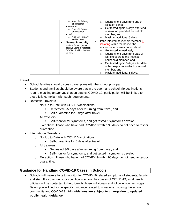| Age 12+ Primary<br>$\circ$<br>and Booster<br>• Moderna<br>Age $18+$ Primary<br>and Booster<br>$\bullet$ J&J<br>Age $18+$ Primary<br>and Booster<br><b>Natural Immunity</b><br>Had confirmed (tested<br>positive using a viral test)<br>COVID-19 within the last<br>90 days | Quarantine 5 days from end of<br>$\circ$<br>isolation period;<br>Get tested again 5 days after end<br>$\circ$<br>of isolation period of household<br>member; and<br>Mask an additional 5 days.<br>If the infected household member IS<br>٠<br>isolating within the house, the<br>unvaccinated close contact should:<br>Get tested immediately;<br>Quarantine 5 days from date of<br>$\circ$<br>last exposure to the infected<br>household member; and<br>Get tested again 5 days after date<br>$\circ$<br>of last exposure to the household<br>member; and<br>Mask an additional 5 days. |
|----------------------------------------------------------------------------------------------------------------------------------------------------------------------------------------------------------------------------------------------------------------------------|------------------------------------------------------------------------------------------------------------------------------------------------------------------------------------------------------------------------------------------------------------------------------------------------------------------------------------------------------------------------------------------------------------------------------------------------------------------------------------------------------------------------------------------------------------------------------------------|

#### **Travel**

- School families should discuss travel plans with the school principal.
- Students and families should be aware that in the event any school trip destinations require masking and/or vaccination against COVID-19, participation will be limited to those fully compliant with such requirements.
- Domestic Travelers
	- o Not Up to Date with COVID Vaccinations
		- Get tested 3-5 days after returning from travel, and
		- Self-quarantine for 5 days after travel
	- o All travelers
		- Self-monitor for symptoms, and get tested if symptoms develop
	- o Exception: Those who have had COVID-19 within 90 days do not need to test or quarantine.
- International Travelers
	- o Not Up to Date with COVID Vaccinations
		- Self-quarantine for 5 days after travel
	- o All travelers
		- Get tested 3-5 days after returning from travel, and
		- Self-monitor for symptoms, and get tested if symptoms develop
	- $\circ$  Exception: Those who have had COVID-19 within 90 days do not need to test or quarantine.

# **Guidance for Handling COVID-19 Cases in Schools**

• Schools will make efforts to monitor for COVID-19 related symptoms of students, faculty and staff. If a community, or specifically school, has cases of COVID-19, local health officials will be contacted to help identify those individuals and follow up on next steps. Below you will find some specific guidance related to situations involving the school, community and COVID-19. **All guidelines are subject to change due to updated public health guidance.**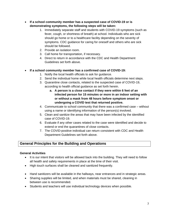- **If a school community member has a suspected case of COVID-19 or is demonstrating symptoms, the following steps will be taken:**
	- 1. Immediately separate staff and students with COVID-19 symptoms (such as fever, cough, or shortness of breath) at school. Individuals who are sick should go home or to a healthcare facility depending on the severity of symptoms. CDC guidance for caring for oneself and others who are sick should be followed.
	- 2. Provide an isolation room.
	- 3. Call home for transportation, if necessary.
	- 4. Direct to return in accordance with the CDC and Health Department Guidelines set forth above.

## • **If a school community member has a confirmed case of COVID-19:**

- 1. Notify the local health officials to ask for guidance.
- 2. Send the individual home while local health officials determine next steps.
- 3. Quarantine close contacts, related to the suspected case of COVID-19, according to health official guidance as set forth herein.
	- **a. A person is a close contact if they were within 6 feet of an infected person for 15 minutes or more in an indoor setting with or without a mask from 48 hours before symptom onset or undergoing a COVID test that returned positive.**
- 4. Communicate to school community that there was a confirmed case without using a name or identifying information of the person(s) involved.
- 5. Clean and sanitize the areas that may have been infected by the identified case of COVID-19.
- 6. Evaluate if any other cases related to the case were identified and decide to extend or end the quarantines of close contacts.
- 7. The COVID-positive individual can return consistent with CDC and Health Department Guidelines set forth above.

# **General Principles for the Building and Operations**

#### **General Activities**

- It is our intent that visitors will be allowed back into the building. They will need to follow all health and safety requirements in place at the time of their visit.
- High touch surfaces shall be cleaned and sanitized frequently.
- Hand sanitizers will be available in the hallways, near entrances and in strategic areas.
- Sharing supplies will be limited, and when materials must be shared, cleaning in between use is recommended.
- Students and teachers will use individual technology devices when possible.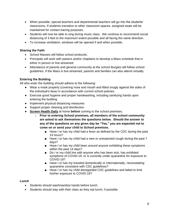- When possible, special teachers and departmental teachers will go into the students' classrooms. If students transition to other classroom spaces, assigned seats will be maintained for contact tracing purposes.
- Students will now be able to sing during music class. We continue to recommend social distancing of 3 feet to the maximum extent possible and all facing the same direction.
- To increase ventilation, windows will be opened if and when possible.

#### **Sharing the Faith**

- School Masses will follow school protocols.
- Principals will work with pastors and/or chaplains to develop a Mass schedule that is either in person or live-streamed.
- Attendance of parents and general community at the school liturgies will follow school guidelines. If the Mass is live-streamed, parents and families can also attend virtually.

#### **Entering the Building**

All who enter the building should adhere to the following:

- Wear a mask properly (covering nose and mouth and fitted snugly against the sides of the individual's face) in accordance with current school policies.
- Exercise good hygiene and proper handwashing, including sanitizing hands upon entering the building
- Implement physical distancing measures
- Support proper cleaning and disinfection
- **Screen Health Daily** at home **before** coming to the school premises.
	- **Prior to entering School premises, all members of the school community are asked to ask themselves the questions below. Should the answer to any of the questions on any given day be "Yes," you are expected not to come on or send your child to School premises.**
		- Have I or has my child had a fever as defined by the CDC during the past 24 hours?
		- Have I or has my child had a new or unexpected cough during the past 7 days?
		- Have I or has my child been around anyone exhibiting these symptoms within the past 14 days?
		- Do I or my child live with anyone who has been sick, has exhibited symptoms of COVID-19, or is currently under quarantine for exposure to COVID-19?
		- Have I or has my traveled domestically or internationally, necessitating quarantine consistent with CDC guidelines?
		- Have I or has my child disregarded CDC guidelines and failed to limit his/her exposure to COVID-19?

#### **Lunch**

- Students should wash/sanitize hands before lunch.
- Students should stay with their class as they eat lunch, if possible.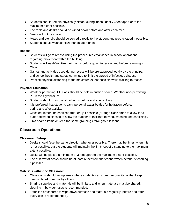- Students should remain physically distant during lunch, ideally 6 feet apart or to the maximum extent possible.
- The table and desks should be wiped down before and after each meal.
- Meals will not be shared.
- Meals and utensils should be served directly to the student and prepackaged if possible.
- Students should wash/sanitize hands after lunch.

#### **Recess**

- Students will go to recess using the procedures established in school operations regarding movement within the building.
- Students will wash/sanitize their hands before going to recess and before returning to Class.
- Games and activities used during recess will be pre-approved locally by the principal and school health and safety committee to limit the spread of infectious disease.
- Practice physical distancing to the maximum extent possible while walking to recess.

## **Physical Education**

- Weather permitting, PE class should be held in outside space. Weather non-permitting, PE in the Gymnasium.
- Students should wash/sanitize hands before and after activity.
- It is preferred that students carry personal water bottles for hydration before, during and after activity.
- Class equipment be sanitized frequently if possible (arrange class times to allow for a buffer between classes to allow the teacher to facilitate moving, washing and sanitizing).
- Limit shared items or keep the same groupings throughout lessons.

# **Classroom Operations**

#### **Classroom Set-up**

- Desks should face the same direction whenever possible. There may be times when this is not possible, but the students will maintain the 3 - 6 feet of distancing to the maximum extent possible.
- Desks will be placed a minimum of 3 feet apart to the maximum extent possible.
- The first row of desks should be at least 6 feet from the teacher when he/she is teaching if possible.

#### **Materials within the Classroom**

- Classrooms should set up areas where students can store personal items that keep them isolated from use by others.
- Sharing supplies and materials will be limited, and when materials must be shared, cleaning in between uses is recommended.
- Establish procedures to wipe down surfaces and materials regularly (before and after every use is recommended).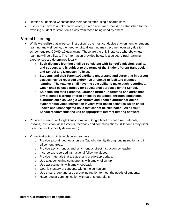- Remind students to wash/sanitize their hands after using a shared item.
- If students travel to an alternative room, an area and place should be established for the traveling student to store items away from those being used by others.

# **Virtual Learning**

- While we realize that in-person instruction is the most conducive environment for student learning and well-being, the need for virtual learning may become necessary due to school required COVID-19 quarantine. These are the only instances whereby virtual learning will be utilized. The information provided below is a guide. Virtual learning experiences are determined locally.
	- o **Such distance learning shall be consistent with School's mission, quality, and support, and is subject to the terms of the Student-Parent Handbook and School and Diocesan Policies.**
	- o **Students and their Parents/Guardians understand and agree that in-person classes may be recorded and/or live streamed to facilitate distance learning. The teacher shall have the sole ability to make such recordings, which shall be used strictly for educational purposes by the School.**
	- o **Students and their Parents/Guardians further understand and agree that any distance learning offered online by the School through educational platforms such as Google Classroom and Zoom platforms for online synchronous video instruction involve web-based activities which entail known and unanticipated risks that cannot be eliminated. As a result, School recommends the use of appropriate Internet filtering software.**
- Provide the use of a Google Classroom and Google Meet to centralize materials, lessons, instruction, assessments, feedback and communications. (Platforms may differ by school as it is locally determined.)
- Virtual instruction will take place as teachers:
	- $\circ$  Provide a continued focus on our Catholic identity throughout instruction and in all content areas.
	- $\circ$  Provide asynchronous and synchronous direct instruction by teacher.
	- o Incorporate recorded instructional follow up videos.
	- o Provide materials that are age- and grade-appropriate.
	- o Use textbook online components with timely follow-up.
	- o Use assessments with timely feedback.
	- o Goal is mastery of concepts within the curriculum.
	- $\circ$  Use small group and large group instruction to meet the needs of students.
	- o Have regular communication with parents/guardians.

#### **Before Care/Aftercare (if applicable)**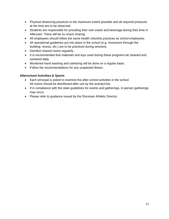- Physical distancing practices to the maximum extent possible and all required protocols at the time are to be observed.
- Students are responsible for providing their own snack and beverage during their time in Aftercare. There will be no snack sharing.
- All employees should follow the same health checklist practices as school employees.
- All operational guidelines put into place in the school (e.g. movement through the building, recess, etc.) are to be practiced during sessions.
- Disinfect shared rooms regularly.
- It is recommended that materials and toys used during these programs be cleaned and sanitized daily.
- Monitored hand washing and sanitizing will be done on a regular basis.
- Follow the recommendations for any suspected illness.

#### **Afterschool Activities & Sports**

- Each principal is asked to examine the after-school activities in the school. All rooms should be disinfected after use by the activity/club.
- If in compliance with the state guidelines for events and gatherings, in-person gatherings may occur.
- Please refer to guidance issued by the Diocesan Athletic Director.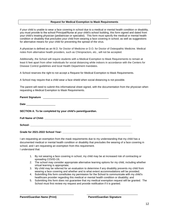#### **Request for Medical Exemption to Mask Requirements**

If your child is unable to wear a face covering in school due to a medical or mental health condition or disability, you must provide to the school Principal/Nurse at your child's school building, this form signed and dated from your child's treating physician (pediatrician or specialist). This form must specify the medical or mental health condition or disability that precludes your child from wearing a face covering in school, as well as suggestions for alternative means for your child for preventing the spread of the virus.

A physician is defined as an M.D. for Doctor of Medicine or D.O. for Doctor of Osteopathic Medicine. Medical notes from alternative health providers, such as Chiropractors, etc., will not be accepted.

Additionally, the School will require students with a Medical Exemption to Mask Requirements to remain at least 6 feet apart from other individuals for social distancing while indoors in accordance with the Centers for Disease Control guidelines and local Health Department mandates.

A School reserves the right to not accept a Request for Medical Exemption to Mask Requirements.

A School may require that a child wear a face shield when social distancing is not possible.

The parent will need to submit this informational sheet signed, with the documentation from the physician when requesting a Medical Exemption to Mask Requirements.

| SECTION A. To be completed by your child's parent/guardian. |
|-------------------------------------------------------------|
|                                                             |
|                                                             |
| Grade for 2021-2022 School Year:                            |

I am requesting an exemption from the mask requirements due to my understanding that my child has a documented medical or mental health condition or disability that precludes the wearing of a face covering in school, and I am requesting an exemption from this requirement. I understand that:

- 1. By not wearing a face covering in school, my child may be at increased risk of contracting or spreading COVID-19;
- 2. The school may consider appropriate alternative learning options for my child, including whether virtual learning is appropriate;
- 3. My child may be referred for an evaluation to determine if any disability prevents my child from wearing a face covering and whether and to what extent accommodations will be provided;
- 4. Submitting this form constitutes my permission for the School to communicate with my child's healthcare provider regarding this medical or mental health condition or disability; and

\_\_\_\_\_\_\_\_\_\_\_\_\_\_\_\_\_\_\_\_\_\_\_\_\_\_\_\_\_\_\_\_\_\_\_\_\_ \_\_\_\_\_\_\_\_\_\_\_\_\_\_\_\_\_\_\_\_\_\_\_\_\_\_\_\_\_\_\_\_\_\_\_

5. Submitting this form does not guarantee that my medical exemption request will be granted. The School must first review my request and provide notification if it is granted.